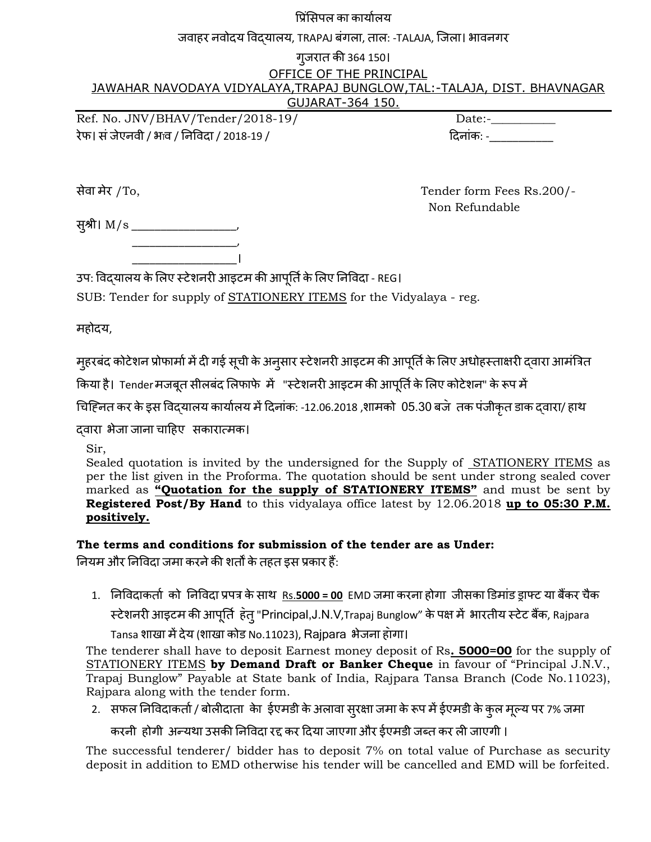प्रिंसिपल का कार्यालय

जवाहर नवोदय विदयालय, TRAPAJ बंगला, ताल: -TALAJA, जिला। भावनगर

#### गुजरात की 364 150।

OFFICE OF THE PRINCIPAL

JAWAHAR NAVODAYA VIDYALAYA,TRAPAJ BUNGLOW,TAL:-TALAJA, DIST. BHAVNAGAR

### GUJARAT-364 150.

Ref. No. JNV/BHAV/Tender/2018-19/ Date:-\_\_\_\_\_\_\_\_\_\_\_ रेफ। सं जेएनवी / भाव / निविदा / 2018-19 / बाल कार्यकार कार्यकार करने के बाल दिनांक: -\_\_\_\_\_\_\_\_\_\_\_\_\_\_\_\_\_\_\_\_\_\_\_\_\_

सेवा भेय /To, Tender form Fees Rs.200/- Non Refundable

सुश्री। M/s \_\_\_\_\_\_\_\_\_\_\_\_\_\_\_\_\_\_\_\_  $\overline{\phantom{a}}$  ,  $\overline{\phantom{a}}$  ,  $\overline{\phantom{a}}$  ,  $\overline{\phantom{a}}$  ,  $\overline{\phantom{a}}$  ,  $\overline{\phantom{a}}$  ,  $\overline{\phantom{a}}$  ,  $\overline{\phantom{a}}$  ,  $\overline{\phantom{a}}$  ,  $\overline{\phantom{a}}$  ,  $\overline{\phantom{a}}$  ,  $\overline{\phantom{a}}$  ,  $\overline{\phantom{a}}$  ,  $\overline{\phantom{a}}$  ,  $\overline{\phantom{a}}$  ,  $\overline{\phantom{a}}$ 

\_\_\_\_\_\_\_\_\_\_\_\_\_\_\_\_\_\_।

उप: विद्**यालय के लिए स्टेशनरी आइटम की आपूर्ति के** लिए निविदा - REG।

SUB: Tender for supply of STATIONERY ITEMS for the Vidyalaya - reg.

भहोदम,

मुहरबंद कोटेशन प्रोफार्मा में दी गई सूची के अनुसार स्टेशनरी आइटम की आपूर्ति के लिए अधोहस्ताक्षरी द्वारा आमंत्रित

किया है। Tender मजबूत सीलबंद लिफाफे में "स्टेशनरी आइटम की आपूर्ति के लिए कोटेशन" के रूप में

चिह्नित कर के इस विद्यालय कार्यालय में दिनांक: -12.06.2018 ,शामको 05.30 बजे तक पंजीकृत डाक द्वारा/ हाथ

द्वाया बेजा जाना चादहए सकायात्भक।

Sir,

Sealed quotation is invited by the undersigned for the Supply of STATIONERY ITEMS as per the list given in the Proforma. The quotation should be sent under strong sealed cover marked as **"Quotation for the supply of STATIONERY ITEMS"** and must be sent by **Registered Post/By Hand** to this vidyalaya office latest by 12.06.2018 **up to 05:30 P.M. positively.**

**The terms and conditions for submission of the tender are as Under:**

नियम और निविदा जमा करने की शर्तों के तहत इस प्रकार हैं:

1. निविदाकर्ता को निविदा प्रपत्र के साथ Rs.5000 = 00 EMD जमा करना होगा जीसका डिमांड ड्राफ्ट या बैंकर चैक स्टेशनरी आइटम की आपूर्ति हेत् "Principal,J.N.V,Trapaj Bunglow" के पक्ष में भारतीय स्टेट बैंक, Rajpara

Tansa शाखा में देय (शाखा कोड No.11023), Rajpara भेजना होगा।

The tenderer shall have to deposit Earnest money deposit of Rs**. 5000=00** for the supply of STATIONERY ITEMS **by Demand Draft or Banker Cheque** in favour of "Principal J.N.V., Trapaj Bunglow" Payable at State bank of India, Rajpara Tansa Branch (Code No.11023), Rajpara along with the tender form.

2. सफल निविदाकर्ता / बोलीदाता केा ईएमडी के अलावा सुरक्षा जमा के रूप में ईएमडी के कुल मूल्य पर 7% जमा

करनी होगी अन्यथा उसकी निविदा रद्द कर दिया जाएगा और ईएमडी जब्त कर ली जाएगी ।

The successful tenderer/ bidder has to deposit 7% on total value of Purchase as security deposit in addition to EMD otherwise his tender will be cancelled and EMD will be forfeited.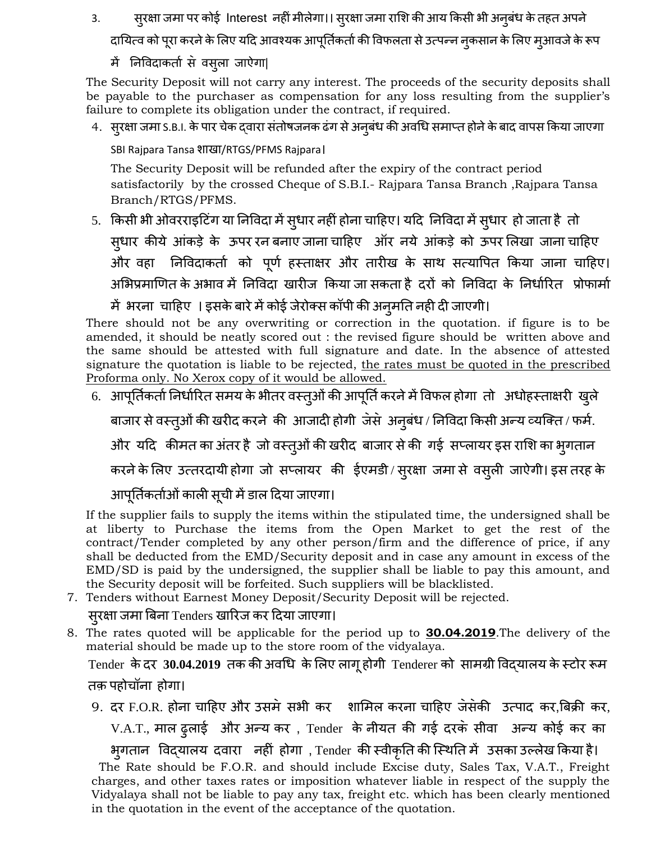3. स्परक्षा जमा पर कोई Interest नहीं मीलेगा।। स्**रक्षा जमा राशि की आय किसी भी अन्**बंध के तहत अपने

दायित्व को पूरा करने के लिए यदि आवश्यक आपूर्तिकर्ता की विफलता से उत्पन्न नकसान के लिए मृआवजे के रूप

में निविदाकर्ता से वस्ला जाऐगा|

The Security Deposit will not carry any interest. The proceeds of the security deposits shall be payable to the purchaser as compensation for any loss resulting from the supplier's failure to complete its obligation under the contract, if required.

4. सुरक्षा जमा S.B.I. के पार चेक द्वारा संतोषजनक ढंग से अनुबंध की अवधि समाप्त होने के बाद वापस किया जाएगा

SBI Rajpara Tansa शाखा/RTGS/PFMS Rajpara।

The Security Deposit will be refunded after the expiry of the contract period satisfactorily by the crossed Cheque of S.B.I.- Rajpara Tansa Branch ,Rajpara Tansa Branch/RTGS/PFMS.

5. किसी भी ओवरराइटिंग या निविदा में सुधार नहीं होना चाहिए। यदि निविदा में सुधार हो जाता है तो सुधार कीये आंकड़े के ऊपर रन बनाए जाना चाहिए ऑर नये आंकड़े को ऊपर लिखा जाना चाहिए और वहा निविदाकर्ता को पूर्ण हस्ताक्षर और तारीख के साथ सत्यापित किया जाना चाहिए। अभिप्रमाणित के अभाव में निविदा खारीज किया जा सकता है दरों को निविदा के निर्धारित प्रोफार्मा

में भरना चाहिए । इसके बारे में कोई जेरोक्स कॉपी की अनुमति नही दी जाएगी।

There should not be any overwriting or correction in the quotation. if figure is to be amended, it should be neatly scored out : the revised figure should be written above and the same should be attested with full signature and date. In the absence of attested signature the quotation is liable to be rejected, <u>the rates must be quoted in the prescribed</u> Proforma only. No Xerox copy of it would be allowed.

6. आपूर्तिकर्ता निर्धारित समय के भीतर वस्तुओं की आपूर्ति करने में विफल होगा तो अधोहस्ताक्षरी खुले

बाजार से वस्तुओं की खरीद करने की आजादी होगी जेसे अनुबंध / निविदा किसी अन्य व्यक्ति / फर्म.

और यदि कीमत का अंतर है जो वस्तुओं की खरीद बाजार से की गई सप्लायर इस राशि का भ्गातान

करने के लिए उत्तरदायी होगा जो सप्लायर की ईएमडी / सुरक्षा जमा से वसुली जाऐगी। इस तरह के

आपूर्तिकर्ताओं काली सूची में डाल दिया जाएगा।

If the supplier fails to supply the items within the stipulated time, the undersigned shall be at liberty to Purchase the items from the Open Market to get the rest of the contract/Tender completed by any other person/firm and the difference of price, if any shall be deducted from the EMD/Security deposit and in case any amount in excess of the EMD/SD is paid by the undersigned, the supplier shall be liable to pay this amount, and the Security deposit will be forfeited. Such suppliers will be blacklisted.

7. Tenders without Earnest Money Deposit/Security Deposit will be rejected.

सुरक्षा जमा बिना Tenders खारिज कर दिया जाएगा।

8. The rates quoted will be applicable for the period up to **30.04.2019**.The delivery of the material should be made up to the store room of the vidyalaya.

Tender के दर 30.04.2019 तक की अवधि के लिए लागू होगी **Tenderer को सामग्री विद्**यालय के स्टोर रूम तक़ ऩहोचॉना होगा।

9. दर F.O.R. होना चाहिए और उसमे सभी कर शामिल करना चाहिए जेसेकी उत्पाद कर,बिक्री कर, V.A.T., भार ढुराई औय अन्म कय , Tender के नीमत की गई दयक॓ सीवा अन्म कोई कय का

बुगतान प्वद्मारम दवाया नहीिं होगा , Tender की स्वीकृनत की जस्थनत भें उसका उल्रेख ककमा है। The Rate should be F.O.R. and should include Excise duty, Sales Tax, V.A.T., Freight charges, and other taxes rates or imposition whatever liable in respect of the supply the Vidyalaya shall not be liable to pay any tax, freight etc. which has been clearly mentioned in the quotation in the event of the acceptance of the quotation.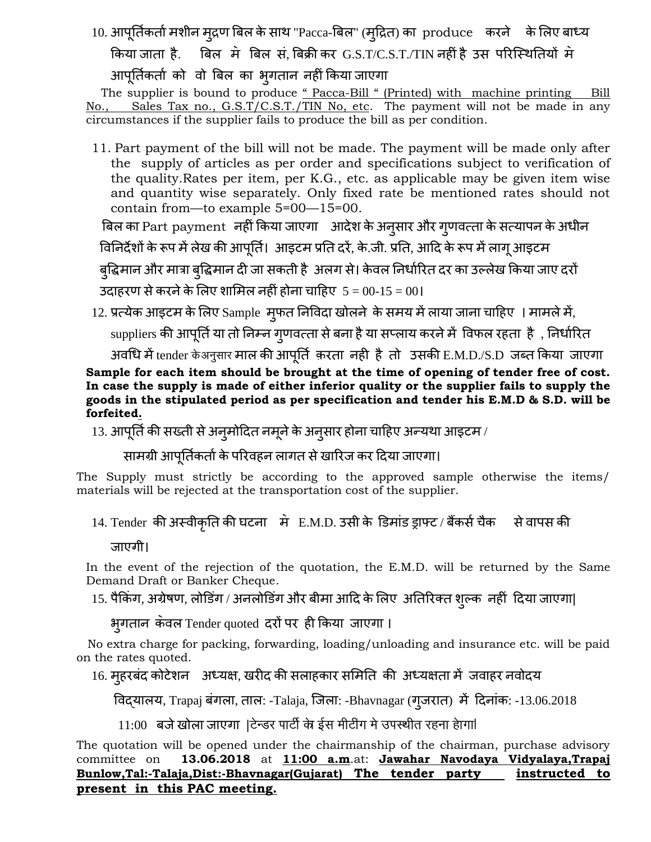10. आपूर्तिकर्ता मशीन मुद्रण बिल के साथ "Pacca-बिल" (मुद्रित) का produce करने के लिए बाध्य किया जाता है. विल में बिल सं. बिक्री कर G.S.T/C.S.T./TIN नहीं है उस परिस्थितियों मे

आपूर्तिकर्ता को वो बिल का भुगतान नहीं किया जाएगा

The supplier is bound to produce " Pacca-Bill " (Printed) with machine printing Bill No., Sales Tax no., G.S.T/C.S.T./TIN No, etc. The payment will not be made in any circumstances if the supplier fails to produce the bill as per condition.

11. Part payment of the bill will not be made. The payment will be made only after the supply of articles as per order and specifications subject to verification of the quality.Rates per item, per K.G., etc. as applicable may be given item wise and quantity wise separately. Only fixed rate be mentioned rates should not contain from—to example 5=00—15=00.

बिल का Part payment नहीं किया जाएगा आदेश के अनुसार और गुणवत्ता के सत्यापन के अधीन

विनिर्देशों के रूप में लेख की आपूर्ति। आइटम प्रति दरें, के.जी. प्रति, आदि के रूप में लागू आइटम

बुद्धिमान और मात्रा बुद्धिमान दी जा सकती है अलग से। केवल निर्धारित दर का उल्लेख किया जाए दरों उदाहरण से करने के लिए शामिल नहीं होना चाहिए  $5 = 00-15 = 00$ ।

12. प्रत्येक आइटम के लिए Sample मुफत निविदा खोलने के समय में लाया जाना चाहिए । मामले में, suppliers की आपूर्ति या तो निम्न गुणवत्ता से बना है या सप्लाय करने में विफल रहता है , निर्धारित

अवधि में tender केअनुसार माल की आपूर्ति क़रता नही है तो उसकी E.M.D./S.D जब्त किया जाएगा

#### **Sample for each item should be brought at the time of opening of tender free of cost. In case the supply is made of either inferior quality or the supplier fails to supply the goods in the stipulated period as per specification and tender his E.M.D & S.D. will be forfeited.**

13. आपूर्ति की सख्ती से अनुमोदित नमूने के अनुसार होना चाहिए अन्यथा आइटम /

# सामग्री आपूर्तिकर्ता के परिवहन लागत से खारिज कर दिया जाएगा।

The Supply must strictly be according to the approved sample otherwise the items/ materials will be rejected at the transportation cost of the supplier.

# 14. Tender की अस्वीकृति की घटना में E.M.D. उसी के डिमांड ड्राफ्ट / बैंकर्स चैक से वापस की

जाएगी।

In the event of the rejection of the quotation, the E.M.D. will be returned by the Same Demand Draft or Banker Cheque.

15. पैकिंग, अग्रेषण, लोडिंग / अनलोडिंग और बीमा आदि के लिए अतिरिक्त शुल्क नहीं दिया जाएगा|

भुगतान कवल Tender quoted दरों पर ही किया जाएगा ।

 No extra charge for packing, forwarding, loading/unloading and insurance etc. will be paid on the rates quoted.

# 16. मुहरबंद कोटेशन अध्यक्ष, खरीद की सलाहकार समिति की अध्यक्षता में जवाहर नवोदय

प्वद्मारम, Trapaj फिंगरा, तार: -Talaja, जजरा: -Bhavnagar (गुजयात) भें ददनािंक: -13.06.2018

 $11:00$  बजे खोला जाएगा |टेन्डर पार्टी के ईस मीटींग मे उपस्थीत रहना हागा!

The quotation will be opened under the chairmanship of the chairman, purchase advisory committee on **13.06.2018** at **11:00 a.m**.at: **Jawahar Navodaya Vidyalaya,Trapaj Bunlow,Tal:-Talaja,Dist:-Bhavnagar(Gujarat) The tender party instructed to present in this PAC meeting.**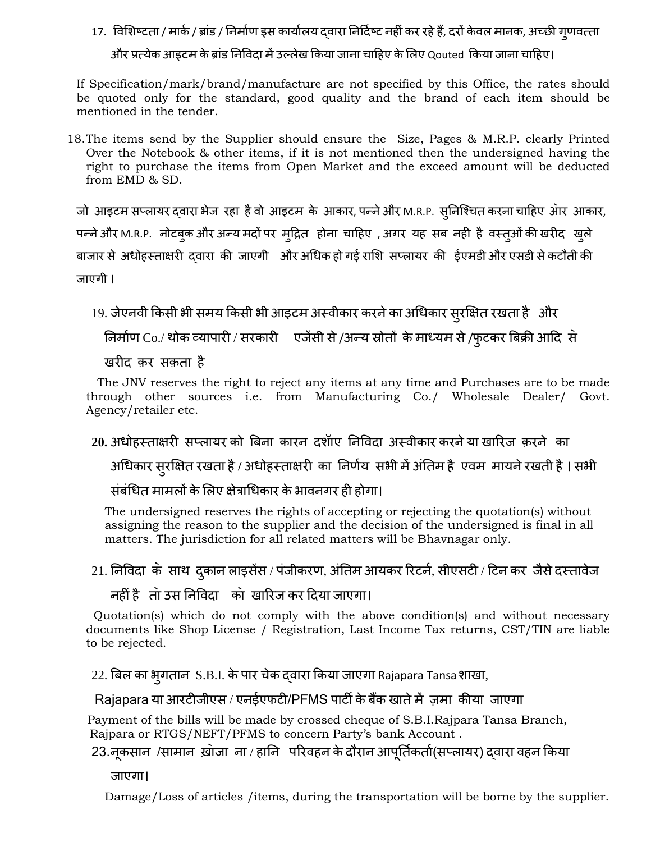# 17. विशिष्टता / मार्क / ब्रांड / निर्माण इस कार्यालय दवारा निर्दिष्ट नहीं कर रहे हैं, दरों केवल मानक, अच्छी गुणवत्ता और प्रत्येक आइटम के ब्रांड निविदा में उल्लेख किया जाना चाहिए के लिए Qouted किया जाना चाहिए।

If Specification/mark/brand/manufacture are not specified by this Office, the rates should be quoted only for the standard, good quality and the brand of each item should be mentioned in the tender.

18.The items send by the Supplier should ensure the Size, Pages & M.R.P. clearly Printed Over the Notebook & other items, if it is not mentioned then the undersigned having the right to purchase the items from Open Market and the exceed amount will be deducted from EMD & SD.

जो आइटम सप्लायर द्वारा भेज रहा है वो आइटम के आकार, पन्ने और M.R.P. स्निश्चित करना चाहिए आेर आकार, पन्ने और M.R.P. नोटबुक और अन्य मदों पर मृद्रित होना चाहिए , अगर यह सब नही है वस्तुओं की खरीद खुले बाजार से अधोहस्ताक्षरी दवारा की जाएगी और अधिक हो गई राशि सप्लायर की ईएमडी और एसडी से कटौती की जाएगी ।

```
19. जेएनवी किसी भी समय किसी भी आइटम अस्वीकार करने का अधिकार सुरक्षित रखता है और
```
निर्माण Co./ थोक व्यापारी / सरकारी एजेंसी से /अन्य स्रोतों के माध्यम से /फुटकर बिक्री आदि से

खयीद क़य सक़ता है

 The JNV reserves the right to reject any items at any time and Purchases are to be made through other sources i.e. from Manufacturing Co./ Wholesale Dealer/ Govt. Agency/retailer etc.

20. अधोहस्ताक्षरी सप्लायर को बिना कारन दशॉाए निविदा अस्वीकार करने या खारिज क़रने का

अधिकार सुरक्षित रखता है / अधोहस्ताक्षरी का निर्णय सभी में अंतिम है एवम मायने रखती है । सभी

संबंधित मामलों के लिए क्षेत्राधिकार के भावनगर ही होगा।

 The undersigned reserves the rights of accepting or rejecting the quotation(s) without assigning the reason to the supplier and the decision of the undersigned is final in all matters. The jurisdiction for all related matters will be Bhavnagar only.

21. निविदा के साथ दुकान लाइसेंस / पंजीकरण, अंतिम आयकर रिटर्न, सीएसटी / टिन कर जैसे दस्तावेज

नहीिंहै ता॓उस ननप्वदा का॓ खारयज कय ददमा जाएगा।

 Quotation(s) which do not comply with the above condition(s) and without necessary documents like Shop License / Registration, Last Income Tax returns, CST/TIN are liable to be rejected.

22. बिल का भ्**गतान S.B.I. के पार चेक द्**वारा किया जाएगा Rajapara Tansa शाखा,

## Rajapara या आरटीजीएस / एनईएफटी/PFMS पार्टी के बैंक खाते में ज़मा कीया जाएगा

 Payment of the bills will be made by crossed cheque of S.B.I.Rajpara Tansa Branch, Rajpara or RTGS/NEFT/PFMS to concern Party's bank Account .

23.नूकसान /सामान ख़ोजा ना / हानि परिवहन के दौरान आपूर्तिकर्ता(सप्लायर) दवारा वहन किया

जाएगा।

Damage/Loss of articles /items, during the transportation will be borne by the supplier.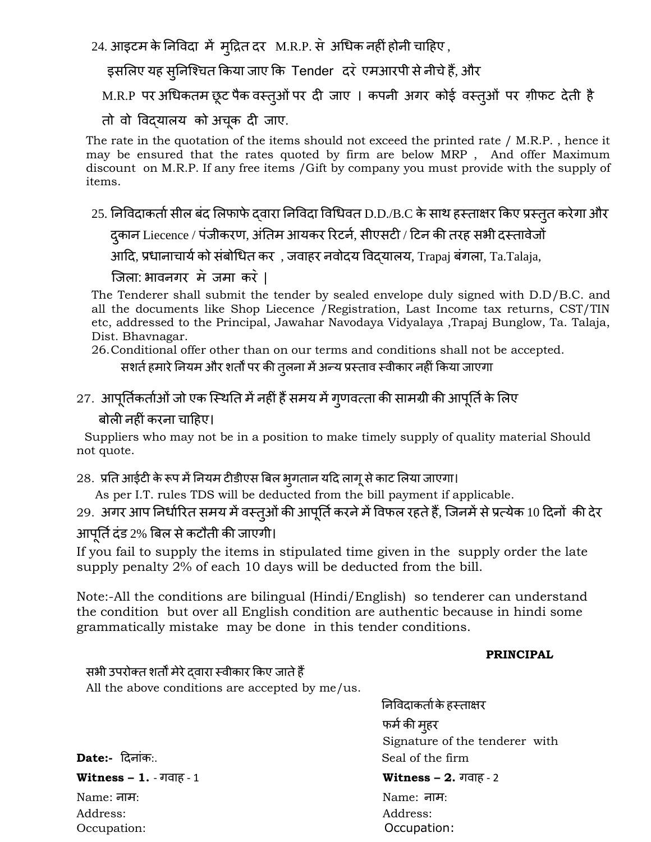24. आइटभ केननप्वदा भें भुदद्रत दय M.R.P. स॓ अचधक नहीिंहोनी चादहए ,

इसलिए यह सुनिश्चित किया जाए कि Tender दरे एमआरपी से नीचे हैं, और

M.R.P पर अधिकतम छूट पैक वस्तुओं पर दी जाए । कपनी अगर कोई वस्तुओं पर ग़ीफट देती है

तो वो प्वद्मारम को अचकू दी जाए.

The rate in the quotation of the items should not exceed the printed rate / M.R.P. , hence it may be ensured that the rates quoted by firm are below MRP , And offer Maximum discount on M.R.P. If any free items /Gift by company you must provide with the supply of items.

25. निविदाकर्ता सील बंद लिफाफे द्वारा निविदा विधिवत D.D./B.C के साथ हस्ताक्षर किए प्रस्तुत करेगा और

दुकान Liecence / पंजीकरण, अंतिम आयकर रिटर्न, सीएसटी / टिन की तरह सभी दस्तावेजों

आदि, प्रधानाचार्य को संबोधित कर , जवाहर नवोदय विद्यालय, Trapaj बंगला, Ta.Talaja,

जिला: भावनगर मे जमा करें ।

The Tenderer shall submit the tender by sealed envelope duly signed with D.D/B.C. and all the documents like Shop Liecence /Registration, Last Income tax returns, CST/TIN etc, addressed to the Principal, Jawahar Navodaya Vidyalaya ,Trapaj Bunglow, Ta. Talaja, Dist. Bhavnagar.

26.Conditional offer other than on our terms and conditions shall not be accepted.

सशर्त हमारे नियम और शर्तों पर की तुलना में अन्य प्रस्ताव स्वीकार नहीं किया जाएगा

27. आपूर्तिकर्ताओं जो एक स्थिति में नहीं हैं समय में गुणवत्ता की सामग्री की आपूर्ति के लिए

### फोरी नहीिंकयना चादहए।

 Suppliers who may not be in a position to make timely supply of quality material Should not quote.

28. प्रति आईटी के रूप में नियम टीडीएस बिल भुगतान यदि लागू से काट लिया जाएगा।

As per I.T. rules TDS will be deducted from the bill payment if applicable.

29. अगर आप निर्धारित समय में वस्तुओं की आपूर्ति करने में विफल रहते हैं, जिनमें से प्रत्येक 10 दिनों की देर आपूर्ति दंड 2% बिल से कटौती की जाएगी।

If you fail to supply the items in stipulated time given in the supply order the late supply penalty 2% of each 10 days will be deducted from the bill.

Note:-All the conditions are bilingual (Hindi/English) so tenderer can understand the condition but over all English condition are authentic because in hindi some grammatically mistake may be done in this tender conditions.

#### **PRINCIPAL**

सभी उपरोक्त शर्तों मेरे दवारा स्वीकार किए जाते हैं All the above conditions are accepted by me/us.

निविदाकर्ता के हस्ताक्षर फर्म की मुहर Signature of the tenderer with **Date:-** ददनािंक:. Seal of the firm

**Witness – 1.** - गवाह - 1 **Witness – 2.** गवाह - 2 Name: नाभ: Name: नाभ: Address: Address: Occupation: Occupation: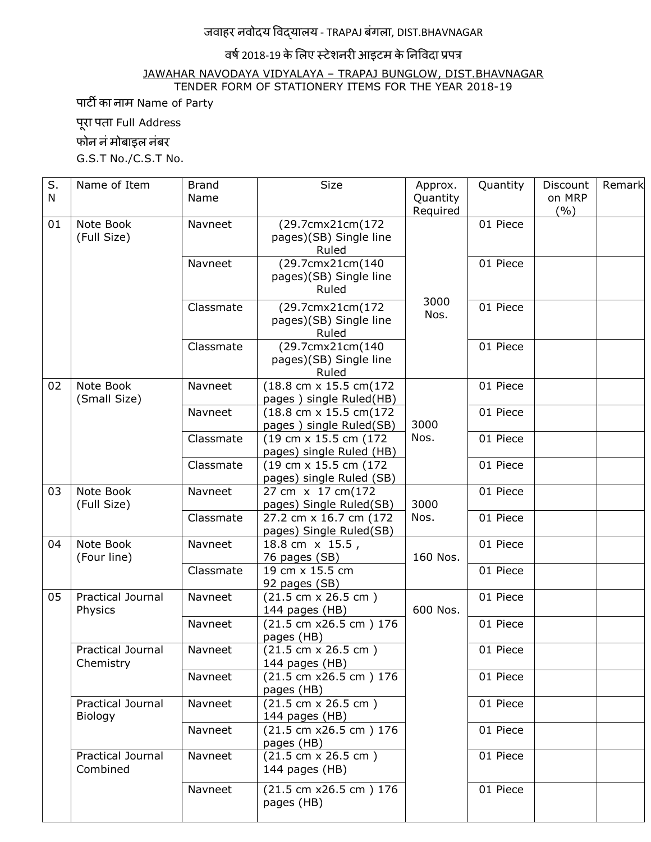# जवाहय नवोदम प्वद्मारम - TRAPAJ फिंगरा, DIST.BHAVNAGAR

### वर्ष 2018-19 के लिए स्टेशनरी आइटम के निविदा प्रपत्र

JAWAHAR NAVODAYA VIDYALAYA – TRAPAJ BUNGLOW, DIST.BHAVNAGAR TENDER FORM OF STATIONERY ITEMS FOR THE YEAR 2018-19

ऩाटी का नाभ Name of Party

पूरा पता Full Address

फोन नं मोबाइल नंबर

G.S.T No./C.S.T No.

| S.<br>N | Name of Item                        | <b>Brand</b><br>Name | <b>Size</b>                                               | Approx.<br>Quantity<br>Required | Quantity | Discount<br>on MRP<br>(%) | Remark |
|---------|-------------------------------------|----------------------|-----------------------------------------------------------|---------------------------------|----------|---------------------------|--------|
| 01      | Note Book<br>(Full Size)            | Navneet              | (29.7cmx21cm(172<br>pages)(SB) Single line<br>Ruled       | 3000<br>Nos.                    | 01 Piece |                           |        |
|         |                                     | Navneet              | (29.7cmx21cm(140<br>pages)(SB) Single line<br>Ruled       |                                 | 01 Piece |                           |        |
|         |                                     | Classmate            | (29.7cmx21cm(172<br>pages)(SB) Single line<br>Ruled       |                                 | 01 Piece |                           |        |
|         |                                     | Classmate            | (29.7cmx21cm(140<br>pages)(SB) Single line<br>Ruled       |                                 | 01 Piece |                           |        |
| 02      | Note Book<br>(Small Size)           | Navneet              | (18.8 cm x 15.5 cm(172<br>pages) single Ruled(HB)         | 3000<br>Nos.                    | 01 Piece |                           |        |
|         |                                     | Navneet              | (18.8 cm x 15.5 cm(172<br>pages) single Ruled(SB)         |                                 | 01 Piece |                           |        |
|         |                                     | Classmate            | (19 cm x 15.5 cm (172)<br>pages) single Ruled (HB)        |                                 | 01 Piece |                           |        |
|         |                                     | Classmate            | (19 cm x 15.5 cm (172)<br>pages) single Ruled (SB)        |                                 | 01 Piece |                           |        |
| 03      | Note Book<br>(Full Size)            | Navneet              | 27 cm x 17 cm(172<br>pages) Single Ruled(SB)              | 3000                            | 01 Piece |                           |        |
|         |                                     | Classmate            | 27.2 cm x 16.7 cm (172<br>pages) Single Ruled(SB)         | Nos.                            | 01 Piece |                           |        |
| 04      | Note Book<br>(Four line)            | Navneet              | 18.8 cm x 15.5,<br>76 pages (SB)                          | 160 Nos.                        | 01 Piece |                           |        |
|         |                                     | Classmate            | 19 cm x 15.5 cm<br>92 pages (SB)                          |                                 | 01 Piece |                           |        |
| 05      | <b>Practical Journal</b><br>Physics | Navneet              | $(21.5 cm \times 26.5 cm)$<br>144 pages (HB)              | 600 Nos.                        | 01 Piece |                           |        |
|         |                                     | Navneet              | (21.5 cm x26.5 cm) 176<br>pages (HB)                      |                                 | 01 Piece |                           |        |
|         | Practical Journal<br>Chemistry      | Navneet              | $(21.5 cm \times 26.5 cm)$<br>144 pages (HB)              |                                 | 01 Piece |                           |        |
|         |                                     | Navneet              | $(21.5 \text{ cm } x26.5 \text{ cm } y176)$<br>pages (HB) |                                 | 01 Piece |                           |        |
|         | Practical Journal<br>Biology        | Navneet              | $(21.5 cm \times 26.5 cm)$<br>144 pages (HB)              |                                 | 01 Piece |                           |        |
|         |                                     | Navneet              | (21.5 cm x26.5 cm) 176<br>pages (HB)                      |                                 | 01 Piece |                           |        |
|         | Practical Journal<br>Combined       | Navneet              | $(21.5 cm \times 26.5 cm)$<br>144 pages (HB)              |                                 | 01 Piece |                           |        |
|         |                                     | Navneet              | (21.5 cm x26.5 cm) 176<br>pages (HB)                      |                                 | 01 Piece |                           |        |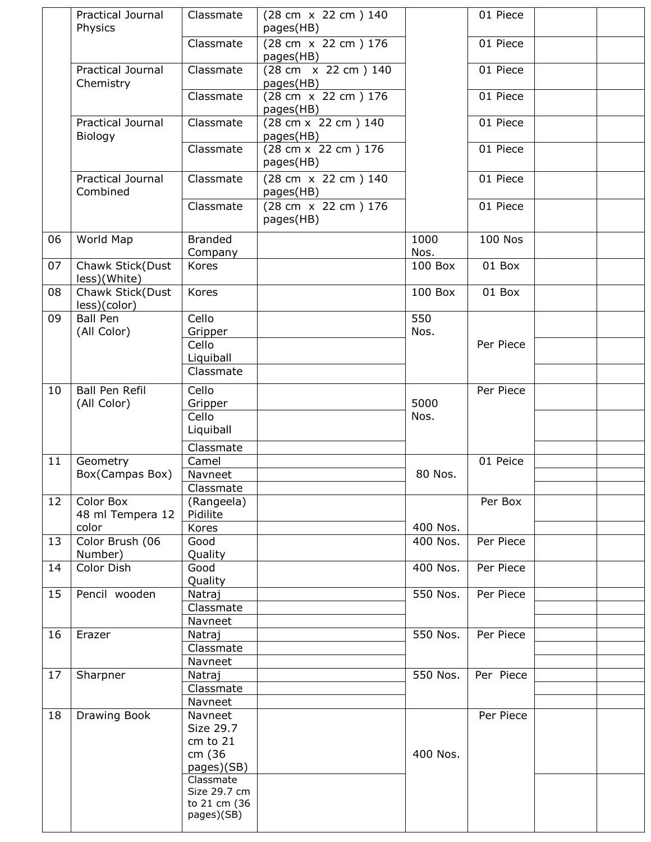|    | <b>Practical Journal</b><br>Physics | Classmate                 | (28 cm x 22 cm ) 140<br>pages(HB) |          | 01 Piece       |  |
|----|-------------------------------------|---------------------------|-----------------------------------|----------|----------------|--|
|    |                                     | Classmate                 | (28 cm x 22 cm ) 176              |          | 01 Piece       |  |
|    | Practical Journal                   | Classmate                 | pages(HB)<br>(28 cm x 22 cm ) 140 |          | 01 Piece       |  |
|    | Chemistry                           |                           | pages(HB)                         |          |                |  |
|    |                                     | Classmate                 | (28 cm x 22 cm ) 176<br>pages(HB) |          | 01 Piece       |  |
|    | Practical Journal<br>Biology        | Classmate                 | (28 cm x 22 cm ) 140<br>pages(HB) |          | 01 Piece       |  |
|    |                                     | Classmate                 | (28 cm x 22 cm ) 176<br>pages(HB) |          | 01 Piece       |  |
|    | Practical Journal<br>Combined       | Classmate                 | (28 cm x 22 cm ) 140<br>pages(HB) |          | 01 Piece       |  |
|    |                                     | Classmate                 | (28 cm x 22 cm ) 176<br>pages(HB) |          | 01 Piece       |  |
| 06 | World Map                           | <b>Branded</b>            |                                   | 1000     | <b>100 Nos</b> |  |
|    |                                     | Company                   |                                   | Nos.     |                |  |
| 07 | Chawk Stick(Dust<br>less)(White)    | Kores                     |                                   | 100 Box  | 01 Box         |  |
| 08 | Chawk Stick(Dust<br>less)(color)    | Kores                     |                                   | 100 Box  | 01 Box         |  |
| 09 | <b>Ball Pen</b>                     | Cello                     |                                   | 550      |                |  |
|    | (All Color)                         | Gripper<br>Cello          |                                   | Nos.     | Per Piece      |  |
|    |                                     | Liquiball                 |                                   |          |                |  |
|    |                                     | Classmate                 |                                   |          |                |  |
| 10 | Ball Pen Refil                      | Cello                     |                                   |          | Per Piece      |  |
|    | (All Color)                         | Gripper                   |                                   | 5000     |                |  |
|    |                                     | Cello                     |                                   | Nos.     |                |  |
|    |                                     | Liquiball                 |                                   |          |                |  |
| 11 | Geometry                            | Classmate<br>Camel        |                                   |          | 01 Peice       |  |
|    | Box(Campas Box)                     | Navneet                   |                                   | 80 Nos.  |                |  |
|    |                                     | Classmate                 |                                   |          |                |  |
| 12 | Color Box                           | (Rangeela)                |                                   |          | Per Box        |  |
|    | 48 ml Tempera 12<br>color           | Pidilite                  |                                   | 400 Nos. |                |  |
| 13 | Color Brush (06                     | Kores<br>Good             |                                   | 400 Nos. | Per Piece      |  |
|    | Number)                             | Quality                   |                                   |          |                |  |
| 14 | Color Dish                          | Good<br>Quality           |                                   | 400 Nos. | Per Piece      |  |
| 15 | Pencil wooden                       | Natraj                    |                                   | 550 Nos. | Per Piece      |  |
|    |                                     | Classmate                 |                                   |          |                |  |
|    |                                     | Navneet                   |                                   |          |                |  |
| 16 | Erazer                              | Natraj<br>Classmate       |                                   | 550 Nos. | Per Piece      |  |
|    |                                     | Navneet                   |                                   |          |                |  |
| 17 | Sharpner                            | Natraj                    |                                   | 550 Nos. | Per Piece      |  |
|    |                                     | Classmate                 |                                   |          |                |  |
|    |                                     | Navneet                   |                                   |          |                |  |
| 18 | Drawing Book                        | Navneet<br>Size 29.7      |                                   |          | Per Piece      |  |
|    |                                     | cm to 21                  |                                   |          |                |  |
|    |                                     | cm (36                    |                                   | 400 Nos. |                |  |
|    |                                     | pages)(SB)                |                                   |          |                |  |
|    |                                     | Classmate<br>Size 29.7 cm |                                   |          |                |  |
|    |                                     | to 21 cm (36              |                                   |          |                |  |
|    |                                     | pages)(SB)                |                                   |          |                |  |
|    |                                     |                           |                                   |          |                |  |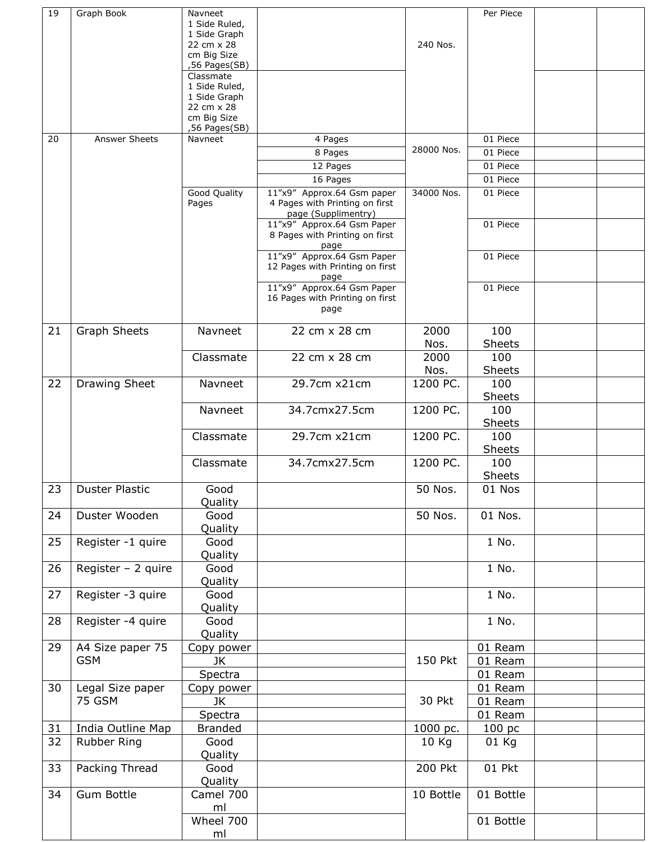| 19 | Graph Book          | Navneet<br>1 Side Ruled,   |                                                                       |               | Per Piece            |  |
|----|---------------------|----------------------------|-----------------------------------------------------------------------|---------------|----------------------|--|
|    |                     | 1 Side Graph<br>22 cm x 28 |                                                                       | 240 Nos.      |                      |  |
|    |                     | cm Big Size                |                                                                       |               |                      |  |
|    |                     | ,56 Pages(SB)              |                                                                       |               |                      |  |
|    |                     | Classmate<br>1 Side Ruled, |                                                                       |               |                      |  |
|    |                     | 1 Side Graph               |                                                                       |               |                      |  |
|    |                     | 22 cm x 28<br>cm Big Size  |                                                                       |               |                      |  |
|    |                     | ,56 Pages(SB)              |                                                                       |               |                      |  |
| 20 | Answer Sheets       | Navneet                    | 4 Pages                                                               | 28000 Nos.    | 01 Piece             |  |
|    |                     |                            | 8 Pages                                                               |               | 01 Piece             |  |
|    |                     |                            | 12 Pages                                                              |               | 01 Piece             |  |
|    |                     | Good Quality               | 16 Pages<br>11"x9" Approx.64 Gsm paper                                | 34000 Nos.    | 01 Piece<br>01 Piece |  |
|    |                     | Pages                      | 4 Pages with Printing on first<br>page (Supplimentry)                 |               |                      |  |
|    |                     |                            | 11"x9" Approx.64 Gsm Paper<br>8 Pages with Printing on first<br>page  |               | 01 Piece             |  |
|    |                     |                            | 11"x9" Approx.64 Gsm Paper<br>12 Pages with Printing on first<br>page |               | 01 Piece             |  |
|    |                     |                            | 11"x9" Approx.64 Gsm Paper<br>16 Pages with Printing on first<br>page |               | 01 Piece             |  |
| 21 | <b>Graph Sheets</b> | Navneet                    | 22 cm x 28 cm                                                         | 2000<br>Nos.  | 100<br>Sheets        |  |
|    |                     | Classmate                  | 22 cm x 28 cm                                                         | 2000          | 100                  |  |
|    |                     |                            |                                                                       | Nos.          | Sheets               |  |
| 22 | Drawing Sheet       | Navneet                    | 29.7cm x21cm                                                          | 1200 PC.      | 100<br>Sheets        |  |
|    |                     | Navneet                    | 34.7cmx27.5cm                                                         | 1200 PC.      | 100<br>Sheets        |  |
|    |                     | Classmate                  | 29.7cm x21cm                                                          | 1200 PC.      | 100<br>Sheets        |  |
|    |                     | Classmate                  | 34.7cmx27.5cm                                                         | 1200 PC.      | 100<br>Sheets        |  |
|    | 23   Duster Plastic | Good<br>Quality            |                                                                       | 50 Nos.       | 01 Nos               |  |
| 24 | Duster Wooden       | Good<br>Quality            |                                                                       | 50 Nos.       | 01 Nos.              |  |
| 25 | Register -1 quire   | Good<br>Quality            |                                                                       |               | 1 No.                |  |
| 26 | Register $-2$ quire | Good<br>Quality            |                                                                       |               | 1 No.                |  |
| 27 | Register -3 quire   | Good<br>Quality            |                                                                       |               | 1 No.                |  |
| 28 | Register -4 quire   | Good<br>Quality            |                                                                       |               | 1 No.                |  |
| 29 | A4 Size paper 75    | Copy power                 |                                                                       |               | 01 Ream              |  |
|    | <b>GSM</b>          | JK                         |                                                                       | 150 Pkt       | 01 Ream              |  |
|    |                     | Spectra                    |                                                                       |               | 01 Ream              |  |
| 30 | Legal Size paper    | Copy power                 |                                                                       |               | 01 Ream              |  |
|    | <b>75 GSM</b>       | JK.                        |                                                                       | <b>30 Pkt</b> | 01 Ream              |  |
| 31 | India Outline Map   | Spectra<br><b>Branded</b>  |                                                                       | 1000 pc.      | 01 Ream<br>100 pc    |  |
| 32 | Rubber Ring         | Good                       |                                                                       | 10 Kg         | 01 Kg                |  |
|    |                     | Quality                    |                                                                       |               |                      |  |
| 33 | Packing Thread      | Good<br>Quality            |                                                                       | $200$ Pkt     | 01 Pkt               |  |
| 34 | Gum Bottle          | Camel 700                  |                                                                       | 10 Bottle     | 01 Bottle            |  |
|    |                     | ml<br>Wheel 700            |                                                                       |               | 01 Bottle            |  |
|    |                     | ml                         |                                                                       |               |                      |  |
|    |                     |                            |                                                                       |               |                      |  |